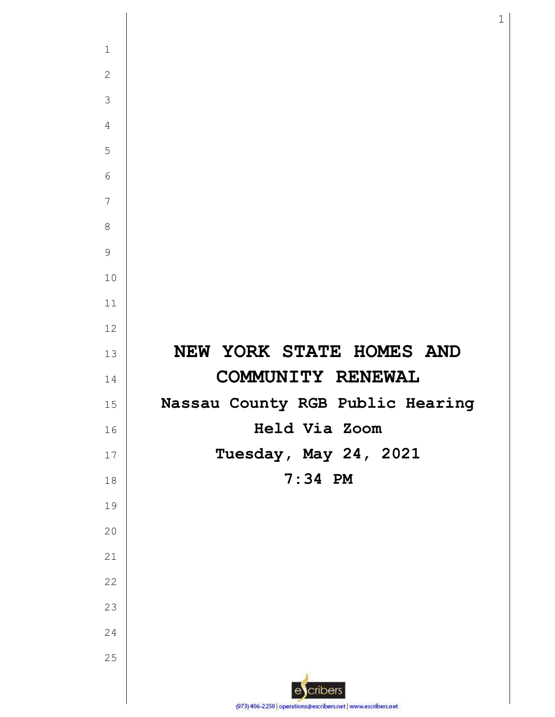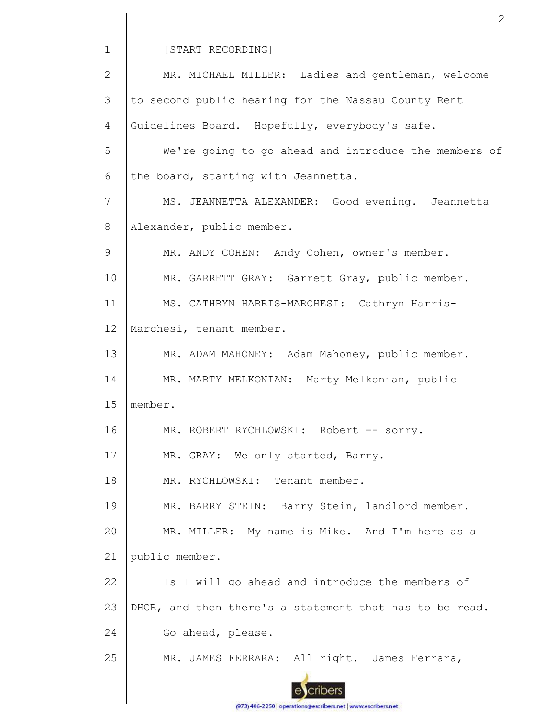[START RECORDING]

MR. MICHAEL MILLER: Ladies and gentleman, welcome 2 3 to second public hearing for the Nassau County Rent 4 Guidelines Board. Hopefully, everybody's safe. 5 We're going to go ahead and introduce the members of 6 the board, starting with Jeannetta. 7 MS. JEANNETTA ALEXANDER: Good evening. Jeannetta Alexander, public member. 8 9 MR. ANDY COHEN: Andy Cohen, owner's member. 10 MR. GARRETT GRAY: Garrett Gray, public member. 11 MS. CATHRYN HARRIS-MARCHESI: Cathryn Harris-12 Marchesi, tenant member. 13 MR. ADAM MAHONEY: Adam Mahoney, public member. 14 MR. MARTY MELKONIAN: Marty Melkonian, public 15 member. 16 MR. ROBERT RYCHLOWSKI: Robert -- sorry. 17 MR. GRAY: We only started, Barry. 18 MR. RYCHLOWSKI: Tenant member. 19 MR. BARRY STEIN: Barry Stein, landlord member. MR. MILLER: My name is Mike. And I'm here as a 20 21 public member. Is I will go ahead and introduce the members of 22 23 DHCR, and then there's a statement that has to be read. 24 Go ahead, please. 25 MR. JAMES FERRARA: All right. James Ferrara, cribers

2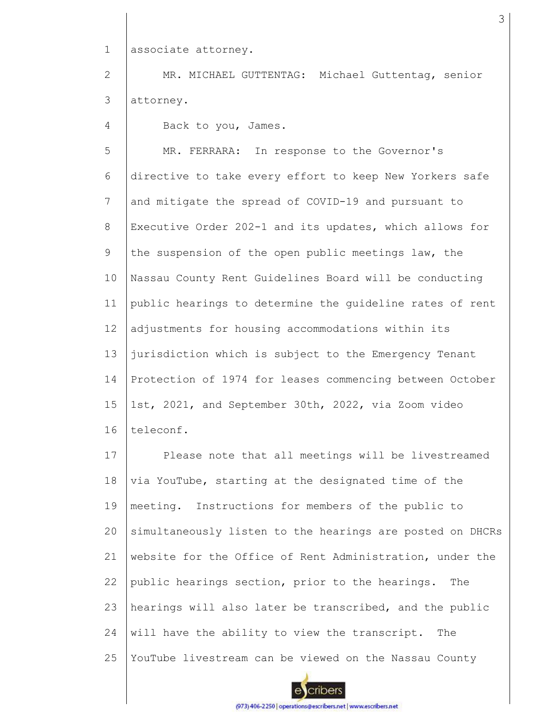1 associate attorney.

2 3 MR. MICHAEL GUTTENTAG: Michael Guttentag, senior attorney.

4 Back to you, James.

5 6 7 8 9 10 11 12 13 14 15 16 MR. FERRARA: In response to the Governor's directive to take every effort to keep New Yorkers safe and mitigate the spread of COVID-19 and pursuant to Executive Order 202-1 and its updates, which allows for the suspension of the open public meetings law, the Nassau County Rent Guidelines Board will be conducting public hearings to determine the guideline rates of rent adjustments for housing accommodations within its jurisdiction which is subject to the Emergency Tenant Protection of 1974 for leases commencing between October 1st, 2021, and September 30th, 2022, via Zoom video teleconf.

17 18 19 20 21 22 23 24 25 Please note that all meetings will be livestreamed via YouTube, starting at the designated time of the meeting. Instructions for members of the public to simultaneously listen to the hearings are posted on DHCRs website for the Office of Rent Administration, under the public hearings section, prior to the hearings. The hearings will also later be transcribed, and the public will have the ability to view the transcript. The YouTube livestream can be viewed on the Nassau County



(973) 406-2250 | operations@escribers.net | www.escribers.net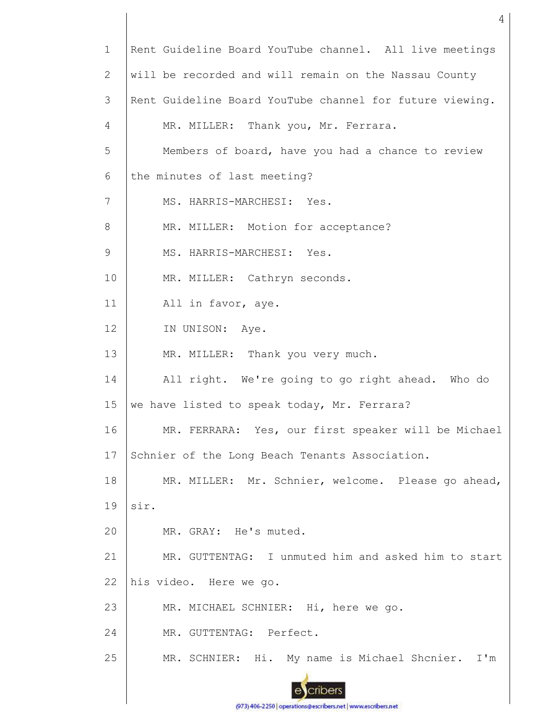| $\mathbf 1$    | Rent Guideline Board YouTube channel. All live meetings  |
|----------------|----------------------------------------------------------|
| 2              | will be recorded and will remain on the Nassau County    |
| 3              | Rent Guideline Board YouTube channel for future viewing. |
| $\overline{4}$ | MR. MILLER: Thank you, Mr. Ferrara.                      |
| 5              | Members of board, have you had a chance to review        |
| 6              | the minutes of last meeting?                             |
| 7              | MS. HARRIS-MARCHESI: Yes.                                |
| 8              | MR. MILLER: Motion for acceptance?                       |
| 9              | MS. HARRIS-MARCHESI: Yes.                                |
| 10             | MR. MILLER: Cathryn seconds.                             |
| 11             | All in favor, aye.                                       |
| 12             | IN UNISON: Aye.                                          |
| 13             | MR. MILLER: Thank you very much.                         |
| 14             | All right. We're going to go right ahead. Who do         |
| 15             | we have listed to speak today, Mr. Ferrara?              |
| 16             | MR. FERRARA: Yes, our first speaker will be Michael      |
| 17             | Schnier of the Long Beach Tenants Association.           |
| 18             | MR. MILLER: Mr. Schnier, welcome. Please go ahead,       |
| 19             | sir.                                                     |
| 20             | MR. GRAY: He's muted.                                    |
| 21             | MR. GUTTENTAG: I unmuted him and asked him to start      |
| 22             | his video. Here we go.                                   |
| 23             | MR. MICHAEL SCHNIER: Hi, here we go.                     |
| 24             | MR. GUTTENTAG: Perfect.                                  |
| 25             | MR. SCHNIER: Hi. My name is Michael Shcnier. I'm         |
|                |                                                          |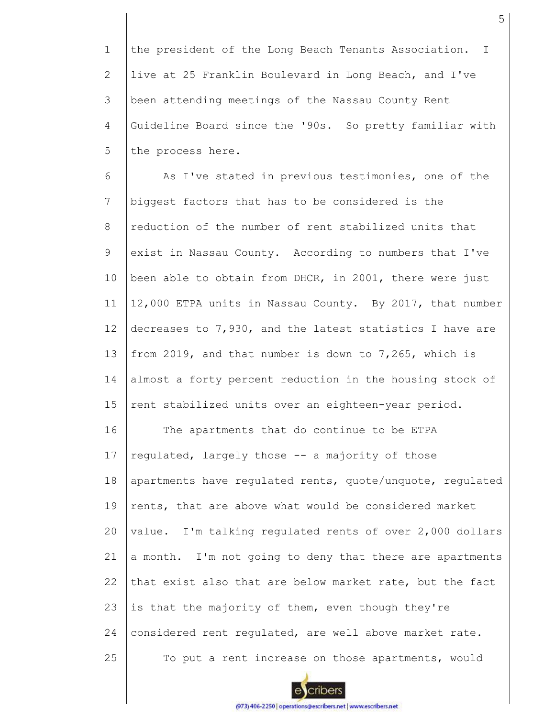1 2 3 4 5 the president of the Long Beach Tenants Association. I live at 25 Franklin Boulevard in Long Beach, and I've been attending meetings of the Nassau County Rent Guideline Board since the '90s. So pretty familiar with the process here.

6 7 8 9 10 11 12 13 14 15 16 17 18 19 20 21 22 23 24 25 As I've stated in previous testimonies, one of the biggest factors that has to be considered is the reduction of the number of rent stabilized units that exist in Nassau County. According to numbers that I've been able to obtain from DHCR, in 2001, there were just 12,000 ETPA units in Nassau County. By 2017, that number decreases to 7,930, and the latest statistics I have are from 2019, and that number is down to 7,265, which is almost a forty percent reduction in the housing stock of rent stabilized units over an eighteen-year period. The apartments that do continue to be ETPA regulated, largely those -- a majority of those apartments have regulated rents, quote/unquote, regulated rents, that are above what would be considered market value. I'm talking regulated rents of over 2,000 dollars a month. I'm not going to deny that there are apartments that exist also that are below market rate, but the fact is that the majority of them, even though they're considered rent regulated, are well above market rate. To put a rent increase on those apartments, would

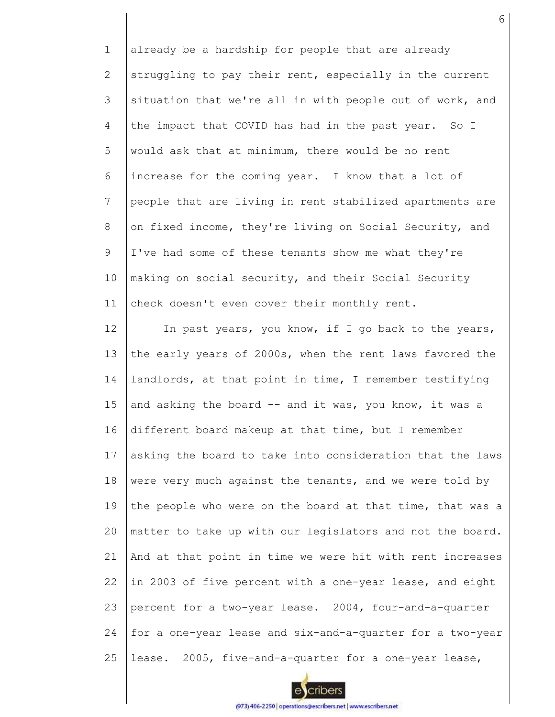1 2 3 4 5 6 7 8 9 10 11 already be a hardship for people that are already struggling to pay their rent, especially in the current situation that we're all in with people out of work, and the impact that COVID has had in the past year. So I would ask that at minimum, there would be no rent increase for the coming year. I know that a lot of people that are living in rent stabilized apartments are on fixed income, they're living on Social Security, and I've had some of these tenants show me what they're making on social security, and their Social Security check doesn't even cover their monthly rent.

12 13 14 15 16 17 18 19 20 21 22 23 24 25 In past years, you know, if I go back to the years, the early years of 2000s, when the rent laws favored the landlords, at that point in time, I remember testifying and asking the board -- and it was, you know, it was a different board makeup at that time, but I remember asking the board to take into consideration that the laws were very much against the tenants, and we were told by the people who were on the board at that time, that was a matter to take up with our legislators and not the board. And at that point in time we were hit with rent increases in 2003 of five percent with a one-year lease, and eight percent for a two-year lease. 2004, four-and-a-quarter for a one-year lease and six-and-a-quarter for a two-year lease. 2005, five-and-a-quarter for a one-year lease,

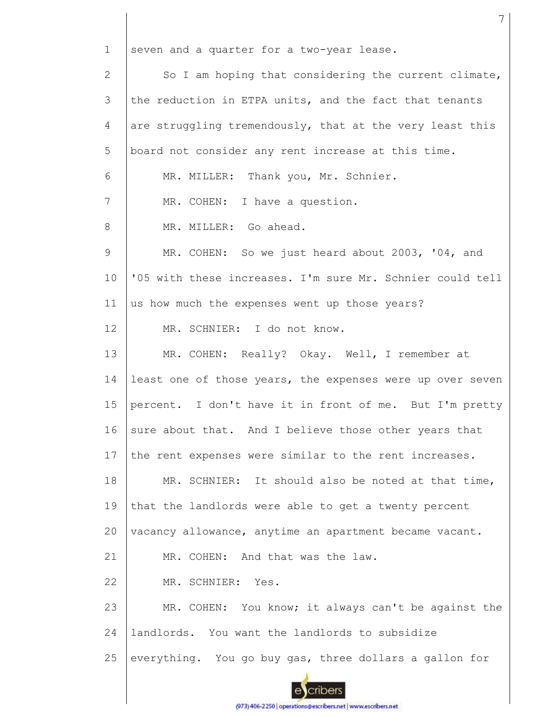1 2 3 4 5 6 7 8 9 10 11 12 13 14 15 16 17 18 19 20 21 22 23 24 25 seven and a quarter for a two-year lease. So I am hoping that considering the current climate, the reduction in ETPA units, and the fact that tenants are struggling tremendously, that at the very least this board not consider any rent increase at this time. MR. MILLER: Thank you, Mr. Schnier. MR. COHEN: I have a question. MR. MILLER: Go ahead. MR. COHEN: So we just heard about 2003, '04, and '05 with these increases. I'm sure Mr. Schnier could tell us how much the expenses went up those years? MR. SCHNIER: I do not know. MR. COHEN: Really? Okay. Well, I remember at least one of those years, the expenses were up over seven percent. I don't have it in front of me. But I'm pretty sure about that. And I believe those other years that the rent expenses were similar to the rent increases. MR. SCHNIER: It should also be noted at that time, that the landlords were able to get a twenty percent vacancy allowance, anytime an apartment became vacant. MR. COHEN: And that was the law. MR. SCHNIER: Yes. MR. COHEN: You know; it always can't be against the landlords. You want the landlords to subsidize everything. You go buy gas, three dollars a gallon for

7

(973) 406-2250 | operations@escribers.net | www.escribers.net

cribers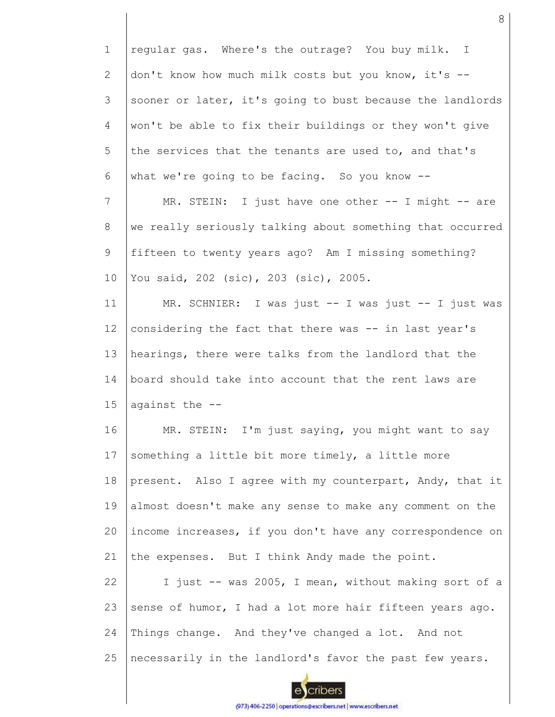1 2 3 4 5 6 7 8 9 10 11 12 13 14 15 16 17 18 19 20 21 22 23 24 25 regular gas. Where's the outrage? You buy milk. I don't know how much milk costs but you know, it's - sooner or later, it's going to bust because the landlords won't be able to fix their buildings or they won't give the services that the tenants are used to, and that's what we're going to be facing. So you know --MR. STEIN: I just have one other -- I might -- are we really seriously talking about something that occurred fifteen to twenty years ago? Am I missing something? You said, 202 (sic), 203 (sic), 2005. MR. SCHNIER: I was just -- I was just -- I just was considering the fact that there was -- in last year's hearings, there were talks from the landlord that the board should take into account that the rent laws are against the -- MR. STEIN: I'm just saying, you might want to say something a little bit more timely, a little more present. Also I agree with my counterpart, Andy, that it almost doesn't make any sense to make any comment on the income increases, if you don't have any correspondence on the expenses. But I think Andy made the point. I just -- was 2005, I mean, without making sort of a sense of humor, I had a lot more hair fifteen years ago. Things change. And they've changed a lot. And not necessarily in the landlord's favor the past few years.

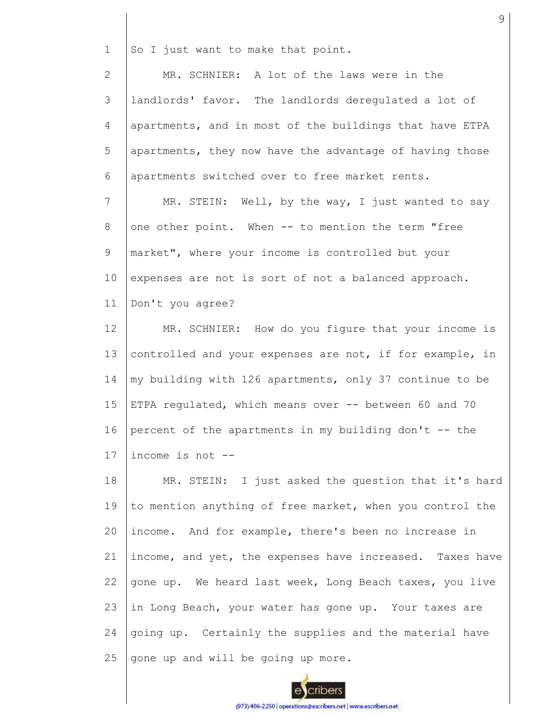1 So I just want to make that point.

2 3 4 5 6 MR. SCHNIER: A lot of the laws were in the landlords' favor. The landlords deregulated a lot of apartments, and in most of the buildings that have ETPA apartments, they now have the advantage of having those apartments switched over to free market rents.

7 8 9 10 11 MR. STEIN: Well, by the way, I just wanted to say one other point. When -- to mention the term "free market", where your income is controlled but your expenses are not is sort of not a balanced approach. Don't you agree?

12 13 14 15 16 17 MR. SCHNIER: How do you figure that your income is controlled and your expenses are not, if for example, in my building with 126 apartments, only 37 continue to be ETPA regulated, which means over -- between 60 and 70 percent of the apartments in my building don't  $-$ - the income is not --

18 19 20 21 22 23 24 25 MR. STEIN: I just asked the question that it's hard to mention anything of free market, when you control the income. And for example, there's been no increase in income, and yet, the expenses have increased. Taxes have gone up. We heard last week, Long Beach taxes, you live in Long Beach, your water has gone up. Your taxes are going up. Certainly the supplies and the material have gone up and will be going up more.

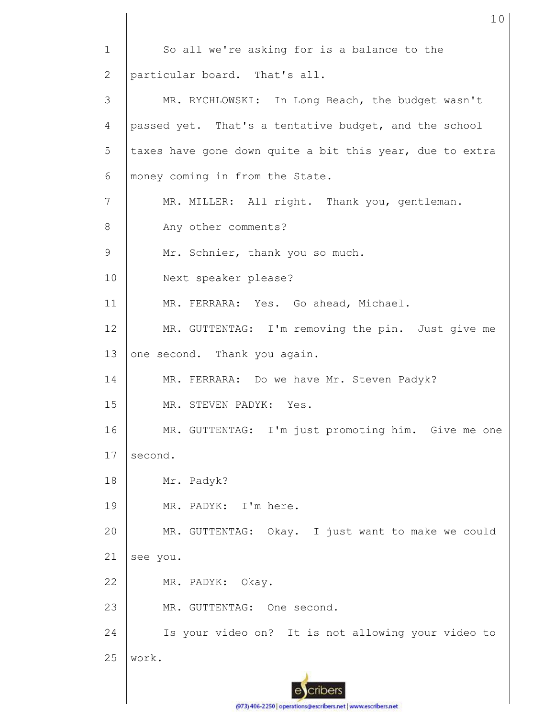1 2 3 4 5 6 7 8 9 10 11 12 13 14 15 16 17 18 19 20 21 22 23 24 25 So all we're asking for is a balance to the particular board. That's all. MR. RYCHLOWSKI: In Long Beach, the budget wasn't passed yet. That's a tentative budget, and the school taxes have gone down quite a bit this year, due to extra money coming in from the State. MR. MILLER: All right. Thank you, gentleman. Any other comments? Mr. Schnier, thank you so much. Next speaker please? MR. FERRARA: Yes. Go ahead, Michael. MR. GUTTENTAG: I'm removing the pin. Just give me one second. Thank you again. MR. FERRARA: Do we have Mr. Steven Padyk? MR. STEVEN PADYK: Yes. MR. GUTTENTAG: I'm just promoting him. Give me one second. Mr. Padyk? MR. PADYK: I'm here. MR. GUTTENTAG: Okay. I just want to make we could see you. MR. PADYK: Okay. MR. GUTTENTAG: One second. Is your video on? It is not allowing your video to work.

10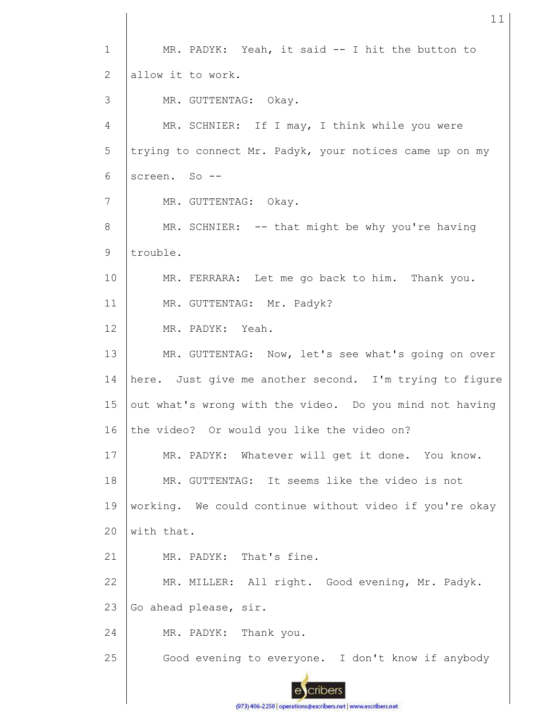1 MR. PADYK: Yeah, it said -- I hit the button to allow it to work. 2 3 MR. GUTTENTAG: Okay. 4 MR. SCHNIER: If I may, I think while you were 5 trying to connect Mr. Padyk, your notices came up on my 6 screen. So --7 MR. GUTTENTAG: Okay. MR. SCHNIER: -- that might be why you're having 8 9 trouble. 10 MR. FERRARA: Let me go back to him. Thank you. 11 MR. GUTTENTAG: Mr. Padyk? 12 MR. PADYK: Yeah. 13 MR. GUTTENTAG: Now, let's see what's going on over 14 here. Just give me another second. I'm trying to figure 15 out what's wrong with the video. Do you mind not having 16 the video? Or would you like the video on? 17 MR. PADYK: Whatever will get it done. You know. 18 MR. GUTTENTAG: It seems like the video is not working. We could continue without video if you're okay 19  $20$ with that. MR. PADYK: That's fine. 21 MR. MILLER: All right. Good evening, Mr. Padyk. 22 23 Go ahead please, sir. 24 MR. PADYK: Thank you. 25 Good evening to everyone. I don't know if anybody cribers

11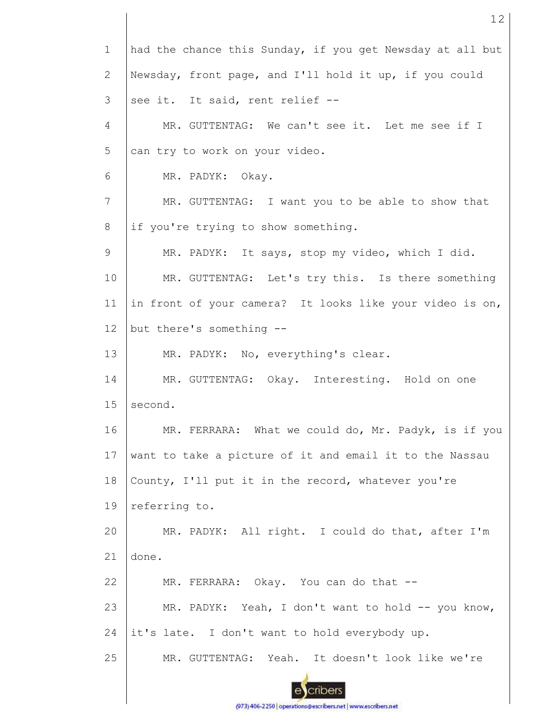| $\mathbf 1$    | had the chance this Sunday, if you get Newsday at all but |
|----------------|-----------------------------------------------------------|
| $\overline{2}$ | Newsday, front page, and I'll hold it up, if you could    |
| 3              | see it. It said, rent relief --                           |
| 4              | MR. GUTTENTAG: We can't see it. Let me see if I           |
| 5              | can try to work on your video.                            |
| 6              | MR. PADYK: Okay.                                          |
| 7              | MR. GUTTENTAG: I want you to be able to show that         |
| 8              | if you're trying to show something.                       |
| 9              | MR. PADYK: It says, stop my video, which I did.           |
| 10             | MR. GUTTENTAG: Let's try this. Is there something         |
| 11             | in front of your camera? It looks like your video is on,  |
| 12             | but there's something --                                  |
| 13             | MR. PADYK: No, everything's clear.                        |
| 14             | MR. GUTTENTAG: Okay. Interesting. Hold on one             |
| 15             | second.                                                   |
| 16             | MR. FERRARA: What we could do, Mr. Padyk, is if you       |
| 17             | want to take a picture of it and email it to the Nassau   |
| 18             | County, I'll put it in the record, whatever you're        |
| 19             | referring to.                                             |
| 20             | MR. PADYK: All right. I could do that, after I'm          |
| 21             | done.                                                     |
| 22             | MR. FERRARA: Okay. You can do that --                     |
| 23             | MR. PADYK: Yeah, I don't want to hold -- you know,        |
| 24             | it's late. I don't want to hold everybody up.             |
| 25             | MR. GUTTENTAG: Yeah. It doesn't look like we're           |
|                |                                                           |

(973) 406-2250 | operations@escribers.net | www.escribers.net

 $\mathsf{l}$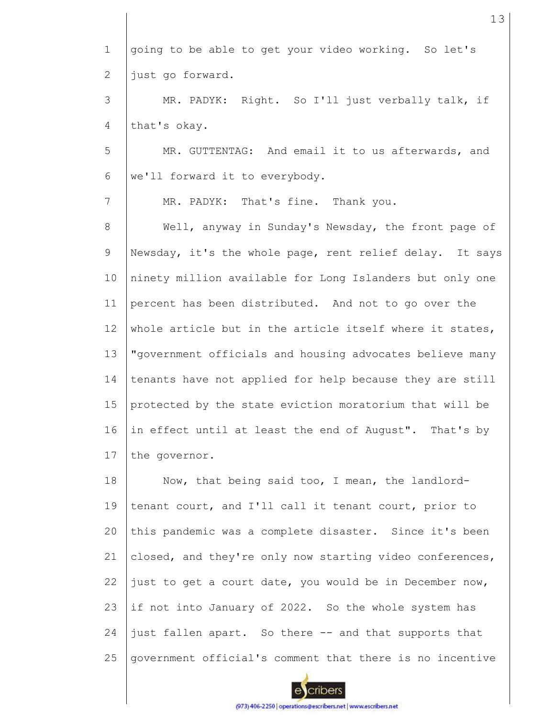1 2 3 4 5 6 7 8 9 10 11 12 13 14 15 16 17 18 19 20 21 22 23 24 going to be able to get your video working. So let's just go forward. MR. PADYK: Right. So I'll just verbally talk, if that's okay. MR. GUTTENTAG: And email it to us afterwards, and we'll forward it to everybody. MR. PADYK: That's fine. Thank you. Well, anyway in Sunday's Newsday, the front page of Newsday, it's the whole page, rent relief delay. It says ninety million available for Long Islanders but only one percent has been distributed. And not to go over the whole article but in the article itself where it states, "government officials and housing advocates believe many tenants have not applied for help because they are still protected by the state eviction moratorium that will be in effect until at least the end of August". That's by the governor. Now, that being said too, I mean, the landlordtenant court, and I'll call it tenant court, prior to this pandemic was a complete disaster. Since it's been closed, and they're only now starting video conferences, just to get a court date, you would be in December now, if not into January of 2022. So the whole system has just fallen apart. So there -- and that supports that



government official's comment that there is no incentive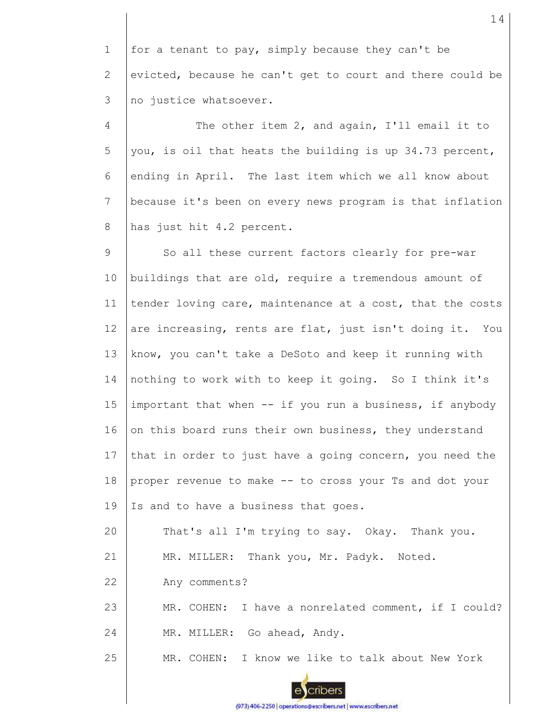1 2 3 for a tenant to pay, simply because they can't be evicted, because he can't get to court and there could be no justice whatsoever.

4 5 6 7 8 The other item 2, and again, I'll email it to you, is oil that heats the building is up 34.73 percent, ending in April. The last item which we all know about because it's been on every news program is that inflation has just hit 4.2 percent.

9 10 11 12 13 14 15 16 17 18 19 20 So all these current factors clearly for pre-war buildings that are old, require a tremendous amount of tender loving care, maintenance at a cost, that the costs are increasing, rents are flat, just isn't doing it. You know, you can't take a DeSoto and keep it running with nothing to work with to keep it going. So I think it's important that when -- if you run a business, if anybody on this board runs their own business, they understand that in order to just have a going concern, you need the proper revenue to make -- to cross your Ts and dot your Is and to have a business that goes. That's all I'm trying to say. Okay. Thank you.

21 MR. MILLER: Thank you, Mr. Padyk. Noted.

22 Any comments?

23 24 MR. COHEN: I have a nonrelated comment, if I could? MR. MILLER: Go ahead, Andy.

25 MR. COHEN: I know we like to talk about New York





cribers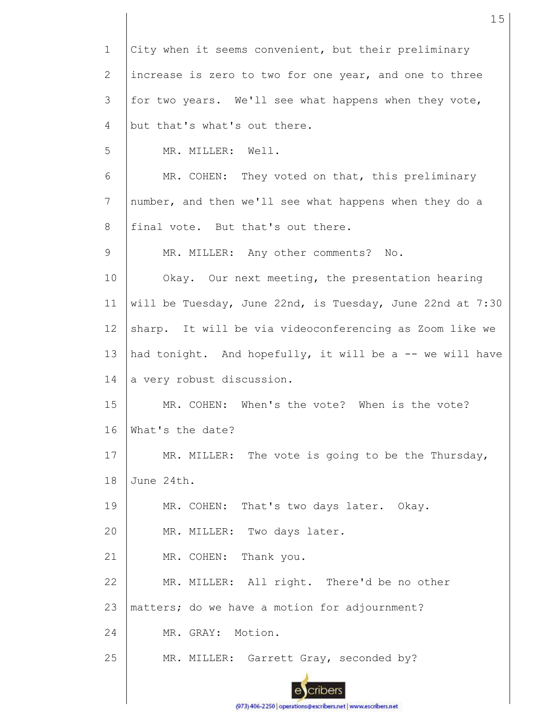| $\mathbf 1$     | City when it seems convenient, but their preliminary      |
|-----------------|-----------------------------------------------------------|
| $\mathbf{2}$    | increase is zero to two for one year, and one to three    |
| 3               | for two years. We'll see what happens when they vote,     |
| $\overline{4}$  | but that's what's out there.                              |
| 5               | MR. MILLER: Well.                                         |
| 6               | MR. COHEN: They voted on that, this preliminary           |
| $7\phantom{.}$  | number, and then we'll see what happens when they do a    |
| 8               | final vote. But that's out there.                         |
| 9               | MR. MILLER: Any other comments?<br>No.                    |
| 10              | Okay. Our next meeting, the presentation hearing          |
| 11              | will be Tuesday, June 22nd, is Tuesday, June 22nd at 7:30 |
| 12 <sup>°</sup> | sharp. It will be via videoconferencing as Zoom like we   |
| 13              | had tonight. And hopefully, it will be a -- we will have  |
| 14              | a very robust discussion.                                 |
| 15              | MR. COHEN: When's the vote? When is the vote?             |
| 16              | What's the date?                                          |
| 17              | MR. MILLER: The vote is going to be the Thursday,         |
| 18              | June 24th.                                                |
| 19              | MR. COHEN: That's two days later. Okay.                   |
| 20              | MR. MILLER: Two days later.                               |
| 21              | MR. COHEN: Thank you.                                     |
| 22              | MR. MILLER: All right. There'd be no other                |
| 23              | matters; do we have a motion for adjournment?             |
| 24              | MR. GRAY: Motion.                                         |
| 25              | MR. MILLER: Garrett Gray, seconded by?                    |
|                 |                                                           |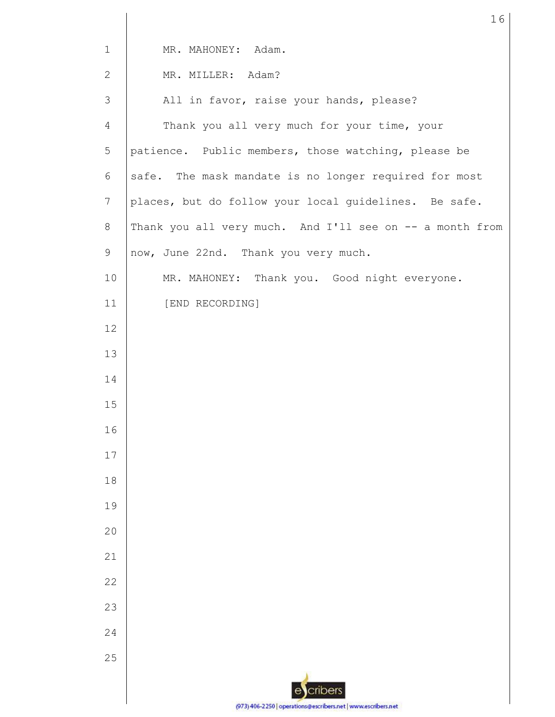| $\mathbf 1$    | MR. MAHONEY: Adam.                                            |
|----------------|---------------------------------------------------------------|
| $\overline{2}$ | MR. MILLER: Adam?                                             |
| 3              | All in favor, raise your hands, please?                       |
| $\overline{4}$ | Thank you all very much for your time, your                   |
| 5              | patience. Public members, those watching, please be           |
| 6              | safe. The mask mandate is no longer required for most         |
| $\overline{7}$ | places, but do follow your local guidelines. Be safe.         |
| $8\,$          | Thank you all very much. And I'll see on -- a month from      |
| 9              | now, June 22nd. Thank you very much.                          |
| 10             | MR. MAHONEY: Thank you. Good night everyone.                  |
| 11             | [END RECORDING]                                               |
| 12             |                                                               |
| 13             |                                                               |
| 14             |                                                               |
| 15             |                                                               |
| 16             |                                                               |
| 17             |                                                               |
| 18             |                                                               |
| 19             |                                                               |
| 20             |                                                               |
| 21             |                                                               |
| 22             |                                                               |
| 23             |                                                               |
| 24             |                                                               |
| 25             |                                                               |
|                | cribers                                                       |
|                | (973) 406-2250   operations@escribers.net   www.escribers.net |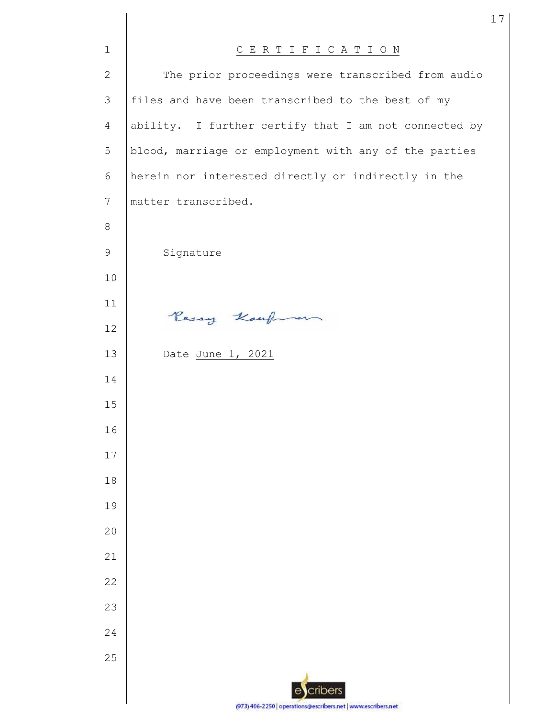| $\mathbf{1}$    | CERTIFICATION                                                 |
|-----------------|---------------------------------------------------------------|
| $\mathbf{2}$    | The prior proceedings were transcribed from audio             |
| 3               | files and have been transcribed to the best of my             |
| $\overline{4}$  | ability. I further certify that I am not connected by         |
| 5               | blood, marriage or employment with any of the parties         |
| 6               | herein nor interested directly or indirectly in the           |
| $7\phantom{.0}$ | matter transcribed.                                           |
| 8               |                                                               |
| $\mathcal{G}$   | Signature                                                     |
| 10              |                                                               |
| 11              |                                                               |
| 12              | Pessy Kaufman                                                 |
| 13              | Date June 1, 2021                                             |
| 14              |                                                               |
| 15              |                                                               |
| 16              |                                                               |
| 17              |                                                               |
| 18              |                                                               |
| 19              |                                                               |
| 20              |                                                               |
| 21              |                                                               |
| 22              |                                                               |
| 23              |                                                               |
| 24              |                                                               |
| 25              |                                                               |
|                 | cribers                                                       |
|                 | (973) 406-2250   operations@escribers.net   www.escribers.net |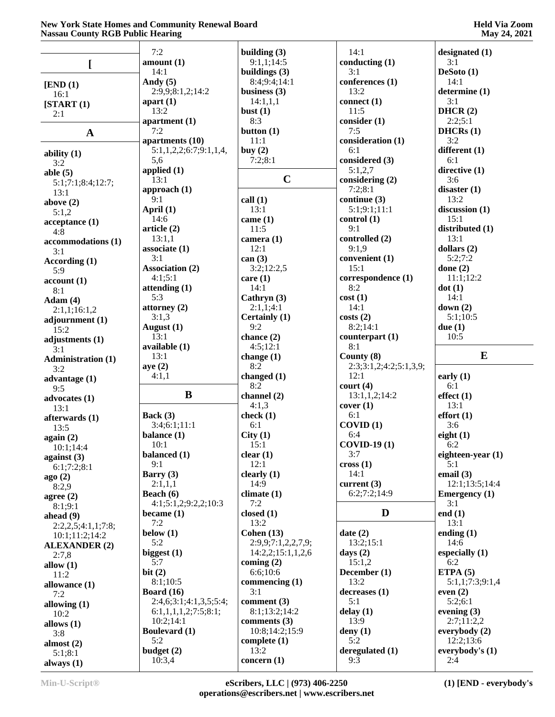|                              | 7:2                           | building $(3)$                   | 14:1                   | designated (1)               |
|------------------------------|-------------------------------|----------------------------------|------------------------|------------------------------|
|                              | amount(1)                     | 9:1,1;14:5                       | conducting $(1)$       | 3:1                          |
| I                            | 14:1                          | buildings $(3)$                  | 3:1                    | DeSoto $(1)$                 |
| [END (1)]                    | Andy $(5)$                    | 8:4;9:4;14:1                     | conferences (1)        | 14:1                         |
| 16:1                         | 2:9,9;8:1,2;14:2              | business $(3)$                   | 13:2                   | determine (1)                |
| [START(1)]                   | apart $(1)$                   | 14:1,1,1                         | connect $(1)$          | 3:1                          |
| 2:1                          | 13:2                          | bust $(1)$                       | 11:5                   | DHCR(2)                      |
|                              | apartment $(1)$               | 8:3                              | consider(1)            | 2:2;5:1                      |
| $\mathbf A$                  | 7:2                           | button $(1)$                     | 7:5                    | DHCRs(1)                     |
|                              | apartments (10)               | 11:1                             | consideration (1)      | 3:2                          |
| ability $(1)$                | 5:1,1,2,2;6:7;9:1,1,4<br>5,6  | buy $(2)$<br>7:2;8:1             | 6:1<br>considered (3)  | different (1)<br>6:1         |
| 3:2                          | applied $(1)$                 |                                  | 5:1,2,7                | directive $(1)$              |
| able $(5)$                   | 13:1                          | $\mathbf C$                      | considering (2)        | 3:6                          |
| 5:1;7:1;8:4;12:7;<br>13:1    | approach (1)                  |                                  | 7:2;8:1                | disaster $(1)$               |
| above $(2)$                  | 9:1                           | call $(1)$                       | continue (3)           | 13:2                         |
| 5:1,2                        | April (1)                     | 13:1                             | 5:1;9:1;11:1           | discussion (1)               |
| acceptance(1)                | 14:6                          | came $(1)$                       | control(1)             | 15:1                         |
| 4:8                          | article (2)                   | 11:5                             | 9:1                    | distributed (1)              |
| accommodations (1)           | 13:1,1                        | camera (1)                       | controlled (2)         | 13:1                         |
| 3:1                          | associate(1)                  | 12:1                             | 9:1,9                  | dollars $(2)$                |
| According $(1)$              | 3:1<br><b>Association (2)</b> | can $(3)$<br>3:2;12:2,5          | convenient (1)<br>15:1 | 5:2;7:2                      |
| 5:9                          | 4:1;5:1                       | care $(1)$                       | correspondence (1)     | done $(2)$<br>11:1;12:2      |
| account(1)                   | attending $(1)$               | 14:1                             | 8:2                    | dot(1)                       |
| 8:1<br>Adam(4)               | 5:3                           | Cathryn $(3)$                    | cost(1)                | 14:1                         |
| 2:1,1;16:1,2                 | attorney $(2)$                | 2:1,1;4:1                        | 14:1                   | down $(2)$                   |
| adjournment (1)              | 3:1,3                         | Certainly (1)                    | costs(2)               | 5:1;10:5                     |
| 15:2                         | August $(1)$                  | 9:2                              | 8:2;14:1               | due(1)                       |
| adjustments (1)              | 13:1                          | chance $(2)$                     | counterpart $(1)$      | 10:5                         |
| 3:1                          | available (1)                 | 4:5;12:1                         | 8:1                    |                              |
| <b>Administration (1)</b>    | 13:1                          | change (1)                       | County (8)             | E                            |
|                              |                               |                                  |                        |                              |
| 3:2                          | aye(2)                        | 8:2                              | 2:3;3:1,2;4:2;5:1,3,9; |                              |
| advantage $(1)$              | 4:1,1                         | changed $(1)$                    | 12:1                   | early $(1)$                  |
| 9:5                          |                               | 8:2                              | court(4)               | 6:1                          |
| advocates $(1)$              | B                             | channel (2)                      | 13:1,1,2;14:2          | effect(1)                    |
| 13:1                         |                               | 4:1,3                            | cover(1)               | 13:1                         |
| afterwards (1)               | Back $(3)$<br>3:4;6:1;11:1    | check $(1)$<br>6:1               | 6:1<br>COVID(1)        | effort(1)<br>3:6             |
| 13:5                         | balance (1)                   | City(1)                          | 6:4                    | eight $(1)$                  |
| again (2)                    | 10:1                          | 15:1                             | <b>COVID-19(1)</b>     | 6:2                          |
| 10:1;14:4                    | balanced (1)                  | clear(1)                         | 3:7                    | eighteen-year $(1)$          |
| against $(3)$<br>6:1;7:2;8:1 | 9:1                           | 12:1                             | cross(1)               | 5:1                          |
| ago(2)                       | Barry $(3)$                   | clearly $(1)$                    | 14:1                   | email $(3)$                  |
| 8:2,9                        | 2:1,1,1                       | 14:9                             | current (3)            | 12:1;13:5;14:4               |
| agree $(2)$                  | Beach $(6)$                   | climate $(1)$                    | 6:2;7:2;14:9           | <b>Emergency</b> $(1)$       |
| 8:1;9:1                      | 4:1;5:1,2;9:2,2;10:3          | 7:2                              |                        | 3:1                          |
| ahead (9)                    | became $(1)$                  | closed $(1)$                     | D                      | end $(1)$                    |
| 2:2,2,5;4:1,1;7:8;           | 7:2<br>below $(1)$            | 13:2<br>Cohen $(13)$             | date(2)                | 13:1                         |
| 10:1;11:2;14:2               | 5:2                           | 2:9,9;7:1,2,2,7,9;               | 13:2;15:1              | ending $(1)$<br>14:6         |
| <b>ALEXANDER (2)</b>         | biggest $(1)$                 | 14:2,2;15:1,1,2,6                | days $(2)$             | especially (1)               |
| 2:7,8<br>allow $(1)$         | 5:7                           | coming $(2)$                     | 15:1,2                 | 6:2                          |
| 11:2                         | bit(2)                        | 6:6;10:6                         | December (1)           | ETPA $(5)$                   |
| allowance (1)                | 8:1;10:5                      | commencing $(1)$                 | 13:2                   | 5:1,1;7:3;9:1,4              |
| 7:2                          | Board $(16)$                  | 3:1                              | decreases(1)           | even $(2)$                   |
| allowing $(1)$               | 2:4,6;3:1;4:1,3,5;5:4;        | comment $(3)$                    | 5:1                    | 5:2;6:1                      |
| 10:2                         | 6:1,1,1,1,2;7:5;8:1;          | 8:1;13:2;14:2                    | delay(1)               | evening $(3)$                |
| allows $(1)$                 | 10:2;14:1                     | comments $(3)$                   | 13:9                   | 2:7;11:2,2                   |
| 3:8                          | <b>Boulevard</b> (1)<br>5:2   | 10:8;14:2;15:9<br>complete $(1)$ | deny $(1)$<br>5:2      | everybody $(2)$<br>12:2;13:6 |
| almost $(2)$                 | budget (2)                    | 13:2                             | deregulated (1)        | everybody's $(1)$            |
| 5:1;8:1<br>always $(1)$      | 10:3,4                        | concern $(1)$                    | 9:3                    | 2:4                          |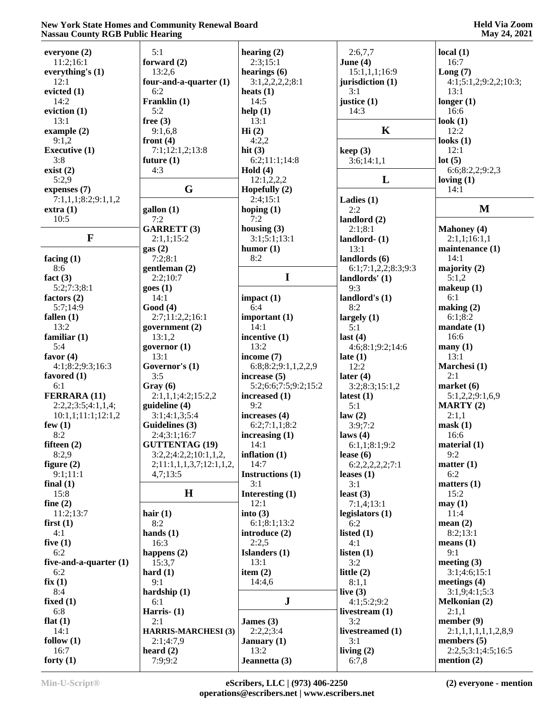| everyone (2)             | 5:1                        | hearing $(2)$        | 2:6,7,7             | local(1)              |
|--------------------------|----------------------------|----------------------|---------------------|-----------------------|
| 11:2;16:1                | forward $(2)$              | 2:3;15:1             | June $(4)$          | 16:7                  |
| everything's (1)         | 13:2,6                     | hearings $(6)$       | 15:1,1,1;16:9       | Long(7)               |
| 12:1                     | four-and-a-quarter $(1)$   | 3:1,2,2,2,2,3:1      | jurisdiction (1)    | 4:1;5:1,2;9:2,2;10:3; |
|                          |                            |                      |                     |                       |
| evicted (1)              | 6:2                        | heats $(1)$          | 3:1                 | 13:1                  |
| 14:2                     | Franklin (1)               | 14:5                 | justice (1)         | longer $(1)$          |
| eviction (1)             | 5:2                        | help(1)              | 14:3                | 16:6                  |
| 13:1                     | free $(3)$                 | 13:1                 |                     | look $(1)$            |
| example $(2)$            | 9:1,6,8                    | Hi(2)                | $\mathbf K$         | 12:2                  |
| 9:1,2                    |                            | 4:2,2                |                     |                       |
|                          | front $(4)$                |                      |                     | looks $(1)$           |
| <b>Executive (1)</b>     | 7:1;12:1,2;13:8            | hit $(3)$            | keep(3)             | 12:1                  |
| 3:8                      | future $(1)$               | 6:2;11:1;14:8        | 3:6;14:1,1          | lot(5)                |
| exist(2)                 | 4:3                        | Hold $(4)$           |                     | 6:6;8:2,2;9:2,3       |
| 5:2,9                    |                            | 12:1,2,2,2           | L                   | loving $(1)$          |
| expenses (7)             | G                          | Hopefully $(2)$      |                     | 14:1                  |
|                          |                            | 2:4;15:1             |                     |                       |
| 7:1,1,1;8:2;9:1,1,2      |                            |                      | Ladies $(1)$        |                       |
| extra(1)                 | $\text{gallon} (1)$        | hoping $(1)$         | 2:2                 | M                     |
| 10:5                     | 7:2                        | 7:2                  | landlord $(2)$      |                       |
|                          | <b>GARRETT (3)</b>         | housing $(3)$        | 2:1;8:1             | <b>Mahoney</b> (4)    |
| $\mathbf{F}$             | 2:1,1;15:2                 | 3:1;5:1;13:1         | landlord $ (1)$     | 2:1,1;16:1,1          |
|                          |                            | humor(1)             | 13:1                |                       |
|                          | gas(2)                     |                      |                     | maintenance (1)       |
| facing $(1)$             | 7:2;8:1                    | 8:2                  | landlords (6)       | 14:1                  |
| 8:6                      | gentleman $(2)$            |                      | 6:1;7:1,2,2;8:3;9:3 | majority $(2)$        |
| fact $(3)$               | 2:2;10:7                   | $\mathbf I$          | landlords' (1)      | 5:1,2                 |
| 5:2;7:3;8:1              | goes(1)                    |                      | 9:3                 | makeup(1)             |
| factors (2)              | 14:1                       | impact $(1)$         | landlord's (1)      | 6:1                   |
|                          |                            |                      | 8:2                 |                       |
| 5:7;14:9                 | Good(4)                    | 6:4                  |                     | making $(2)$          |
| fallen $(1)$             | 2:7;11:2,2;16:1            | important $(1)$      | largely $(1)$       | 6:1;8:2               |
| 13:2                     | government $(2)$           | 14:1                 | 5:1                 | mandate(1)            |
| familiar $(1)$           | 13:1,2                     | incentive (1)        | last(4)             | 16:6                  |
| 5:4                      | governor $(1)$             | 13:2                 | 4:6;8:1;9:2;14:6    | $\mathbf{many}(1)$    |
| favor $(4)$              | 13:1                       | income (7)           | late $(1)$          | 13:1                  |
|                          |                            |                      |                     |                       |
| 4:1;8:2;9:3;16:3         | Governor's (1)             | 6:8;8:2;9:1,1,2,2,9  | 12:2                | Marchesi (1)          |
| favored $(1)$            | 3:5                        | increase $(5)$       | later $(4)$         | 2:1                   |
| 6:1                      | Gray (6)                   | 5:2;6:6;7:5;9:2;15:2 | 3:2;8:3;15:1,2      | market(6)             |
| FERRARA (11)             | 2:1,1,1;4:2;15:2,2         | increased $(1)$      | latest $(1)$        | 5:1,2,2;9:1,6,9       |
| 2:2,2;3:5;4:1,1,4;       | guideline (4)              | 9:2                  | 5:1                 | <b>MARTY</b> (2)      |
|                          |                            |                      |                     | 2:1,1                 |
| 10:1,1;11:1;12:1,2       | 3:1;4:1,3;5:4              | increases $(4)$      | law(2)              |                       |
| few $(1)$                | Guidelines (3)             | 6:2;7:1,1;8:2        | 3:9;7:2             | mask(1)               |
| 8:2                      | 2:4;3:1;16:7               | increasing $(1)$     | laws $(4)$          | 16:6                  |
| fifteen $(2)$            | <b>GUTTENTAG (19)</b>      | 14:1                 | 6:1,1;8:1;9:2       | material(1)           |
| 8:2,9                    | 3:2,2;4:2,2;10:1,1,2,      | inflation $(1)$      | lease $(6)$         | 9:2                   |
|                          |                            | 14:7                 |                     | matter (1)            |
| figure $(2)$             | 2;11:1,1,1,3,7;12:1,1,2,   |                      | 6:2,2,2,2,2;7:1     |                       |
| 9:1;11:1                 | 4,7;13:5                   | Instructions (1)     | leases $(1)$        | 6:2                   |
| final $(1)$              |                            | 3:1                  | 3:1                 | matters(1)            |
| 15:8                     | $\bf H$                    | Interesting (1)      | least $(3)$         | 15:2                  |
| fine $(2)$               |                            | 12:1                 | 7:1,4;13:1          | may(1)                |
| 11:2;13:7                | hair $(1)$                 | into $(3)$           | legislators $(1)$   | 11:4                  |
| first(1)                 | 8:2                        | 6:1;8:1;13:2         | 6:2                 | mean $(2)$            |
|                          |                            |                      |                     |                       |
| 4:1                      | hands $(1)$                | introduce (2)        | listed $(1)$        | 8:2;13:1              |
| five $(1)$               | 16:3                       | 2:2,5                | 4:1                 | means $(1)$           |
| 6:2                      | happens $(2)$              | Islanders (1)        | listen $(1)$        | 9:1                   |
| five-and-a-quarter $(1)$ | 15:3,7                     | 13:1                 | 3:2                 | meeting $(3)$         |
| 6:2                      | hard $(1)$                 | item $(2)$           | little $(2)$        | 3:1;4:6;15:1          |
| fix(1)                   | 9:1                        | 14:4,6               | 8:1,1               | meetings $(4)$        |
|                          |                            |                      |                     |                       |
| 8:4                      | hardship (1)               |                      | live $(3)$          | 3:1,9;4:1;5:3         |
| fixed $(1)$              | 6:1                        | ${\bf J}$            | 4:1;5:2;9:2         | <b>Melkonian (2)</b>  |
| 6:8                      | Harris $ (1)$              |                      | livestream $(1)$    | 2:1,1                 |
| flat $(1)$               | 2:1                        | James $(3)$          | 3:2                 | member $(9)$          |
| 14:1                     | <b>HARRIS-MARCHESI (3)</b> | 2:2,2;3:4            | livestreamed (1)    | 2:1,1,1,1,1,1,2,8,9   |
| follow $(1)$             | 2:1;4:7,9                  | January $(1)$        | 3:1                 | members $(5)$         |
|                          |                            |                      |                     |                       |
| 16:7                     | heard $(2)$                | 13:2                 | living $(2)$        | 2:2,5;3:1;4:5;16:5    |
| forty $(1)$              | 7:9;9:2                    | Jeannetta (3)        | 6:7,8               | mention $(2)$         |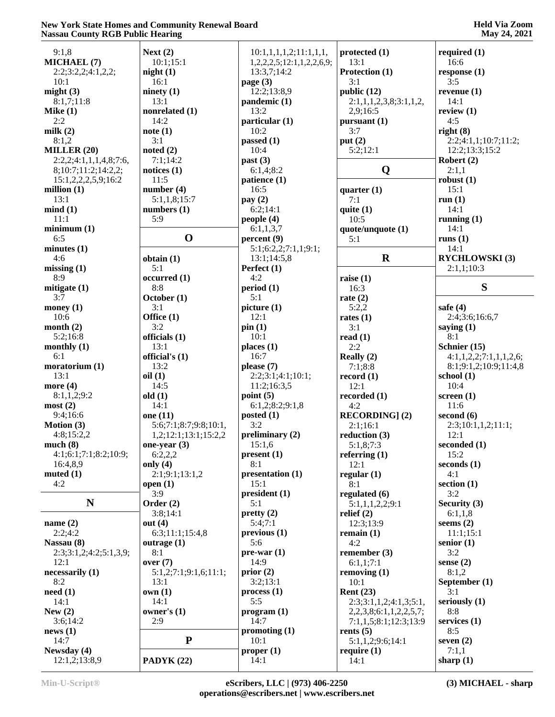| 9:1,8                  | Next $(2)$            | 10:1,1,1,1,1,2;11:1,1,1,1, | protected $(1)$        | required $(1)$         |
|------------------------|-----------------------|----------------------------|------------------------|------------------------|
| MICHAEL (7)            | 10:1;15:1             | 1,2,2,2,5;12:1,1,2,2,6,9;  | 13:1                   | 16:6                   |
| 2:2;3:2,2;4:1,2,2;     | night(1)              | 13:3,7;14:2                | Protection (1)         | response(1)            |
| 10:1                   | 16:1                  | page $(3)$                 | 3:1                    | 3:5                    |
| might(3)               | ninety $(1)$          | 12:2;13:8,9                | public (12)            | revenue $(1)$          |
| 8:1,7;11:8             | 13:1                  | pandemic (1)               | 2:1,1,1,2,3,8;3:1,1,2, | 14:1                   |
| Mike $(1)$             | nonrelated (1)        | 13:2                       | 2,9;16:5               | review $(1)$           |
|                        |                       |                            |                        |                        |
| 2:2                    | 14:2                  | particular (1)             | pursuant (1)           | 4:5                    |
| milk $(2)$             | note(1)               | 10:2                       | 3:7                    | right(8)               |
| 8:1,2                  | 3:1                   | passed $(1)$               | put $(2)$              | 2:2;4:1,1;10:7;11:2;   |
| MILLER $(20)$          | noted $(2)$           | 10:4                       | 5:2;12:1               | 12:2;13:3;15:2         |
| 2:2,2;4:1,1,1,4,8;7:6, | 7:1;14:2              | past(3)                    |                        | Robert $(2)$           |
| 8;10:7;11:2;14:2,2;    | notices $(1)$         | 6:1,4;8:2                  | Q                      | 2:1,1                  |
|                        | 11:5                  |                            |                        |                        |
| 15:1,2,2,2,5,9;16:2    |                       | patience (1)               |                        | robust(1)              |
| million $(1)$          | number(4)             | 16:5                       | quarter $(1)$          | 15:1                   |
| 13:1                   | 5:1,1,8;15:7          | pay $(2)$                  | 7:1                    | run(1)                 |
| mind(1)                | numbers $(1)$         | 6:2;14:1                   | quite $(1)$            | 14:1                   |
| 11:1                   | 5:9                   | people $(4)$               | 10:5                   | running $(1)$          |
| minimum(1)             |                       | 6:1,1,3,7                  | quote/unquote (1)      | 14:1                   |
| 6:5                    | $\mathbf 0$           | percent(9)                 | 5:1                    | runs $(1)$             |
|                        |                       |                            |                        |                        |
| minutes $(1)$          |                       | 5:1;6:2,2;7:1,1;9:1;       |                        | 14:1                   |
| 4:6                    | obtain(1)             | 13:1;14:5,8                | $\mathbf R$            | <b>RYCHLOWSKI</b> (3)  |
| missing(1)             | 5:1                   | Perfect (1)                |                        | 2:1,1;10:3             |
| 8:9                    | occurred (1)          | 4:2                        | raise $(1)$            |                        |
| mitigate $(1)$         | 8:8                   | period (1)                 | 16:3                   | S                      |
| 3:7                    | October (1)           | 5:1                        | rate $(2)$             |                        |
|                        | 3:1                   | picture (1)                | 5:2,2                  | safe $(4)$             |
| money $(1)$            |                       |                            |                        |                        |
| 10:6                   | Office (1)            | 12:1                       | rates $(1)$            | 2:4;3:6;16:6,7         |
| month $(2)$            | 3:2                   | pin(1)                     | 3:1                    | saying $(1)$           |
| 5:2;16:8               | officials (1)         | 10:1                       | read $(1)$             | 8:1                    |
| monthly $(1)$          | 13:1                  | places $(1)$               | 2:2                    | Schnier (15)           |
| 6:1                    | official's (1)        | 16:7                       | Really (2)             | 4:1,1,2,2;7:1,1,1,2,6; |
| moratorium (1)         | 13:2                  | please (7)                 | 7:1;8:8                | 8:1;9:1,2;10:9;11:4,8  |
| 13:1                   | oil(1)                | 2:2;3:1;4:1;10:1;          |                        | school $(1)$           |
|                        |                       |                            | record $(1)$           |                        |
| more $(4)$             | 14:5                  | 11:2;16:3,5                | 12:1                   | 10:4                   |
| 8:1,1,2;9:2            | old(1)                | point $(5)$                | recorded (1)           | screen $(1)$           |
| most(2)                | 14:1                  | 6:1,2;8:2;9:1,8            | 4:2                    | 11:6                   |
| 9:4;16:6               | one (11)              | posted $(1)$               | <b>RECORDING</b> ] (2) | second $(6)$           |
| <b>Motion</b> $(3)$    | 5:6;7:1;8:7;9:8;10:1, | 3:2                        | 2:1;16:1               | 2:3;10:1,1,2;11:1;     |
| 4:8;15:2,2             | 1,2;12:1;13:1;15:2,2  | preliminary $(2)$          | reduction (3)          | 12:1                   |
|                        |                       |                            |                        |                        |
| much(8)                | one-year $(3)$        | 15:1,6                     | 5:1,8;7:3              | seconded (1)           |
| 4:1;6:1;7:1;8:2;10:9;  | 6:2,2,2               | present (1)                | referring $(1)$        | 15:2                   |
| 16:4,8,9               | only $(4)$            | 8:1                        | 12:1                   | seconds $(1)$          |
| muted $(1)$            | 2:1;9:1;13:1,2        | presentation (1)           | regular $(1)$          | 4:1                    |
| 4:2                    | open $(1)$            | 15:1                       | 8:1                    | section $(1)$          |
|                        | 3:9                   | president(1)               | regulated (6)          | 3:2                    |
| $\mathbf N$            | Order $(2)$           | 5:1                        | 5:1,1,1,2,2;9:1        | Security $(3)$         |
|                        |                       |                            |                        |                        |
|                        | 3:8;14:1              | prety(2)                   | relief $(2)$           | 6:1,1,8                |
| name $(2)$             | out $(4)$             | 5:4;7:1                    | 12:3;13:9              | seems $(2)$            |
| 2:2;4:2                | 6:3;11:1;15:4,8       | previous (1)               | remain $(1)$           | 11:1;15:1              |
| Nassau (8)             | outrage $(1)$         | 5:6                        | 4:2                    | senior $(1)$           |
| 2:3;3:1,2;4:2;5:1,3,9; | 8:1                   | $pre-war(1)$               | remember $(3)$         | 3:2                    |
| 12:1                   | over(7)               | 14:9                       | 6:1,1;7:1              | sense $(2)$            |
| necessarily (1)        | 5:1,2;7:1;9:1,6;11:1; | prior(2)                   | removing $(1)$         | 8:1,2                  |
|                        |                       |                            |                        |                        |
| 8:2                    | 13:1                  | 3:2;13:1                   | 10:1                   | September (1)          |
| need(1)                | own(1)                | process(1)                 | <b>Rent (23)</b>       | 3:1                    |
| 14:1                   | 14:1                  | 5:5                        | 2:3;3:1,1,2;4:1,3;5:1, | seriously $(1)$        |
| New $(2)$              | owner's $(1)$         | program (1)                | 2,2,3,8;6:1,1,2,2,5,7; | 8:8                    |
| 3:6;14:2               | 2:9                   | 14:7                       | 7:1,1,5;8:1;12:3;13:9  | services (1)           |
| news(1)                |                       | promoting $(1)$            | rents $(5)$            | 8:5                    |
| 14:7                   | ${\bf P}$             | 10:1                       | 5:1,1,2;9:6;14:1       | seven $(2)$            |
|                        |                       |                            |                        |                        |
| Newsday (4)            |                       | proper <sub>(1)</sub>      | require $(1)$          | 7:1,1                  |
| 12:1,2;13:8,9          | PADYK (22)            | 14:1                       | 14:1                   | sharp $(1)$            |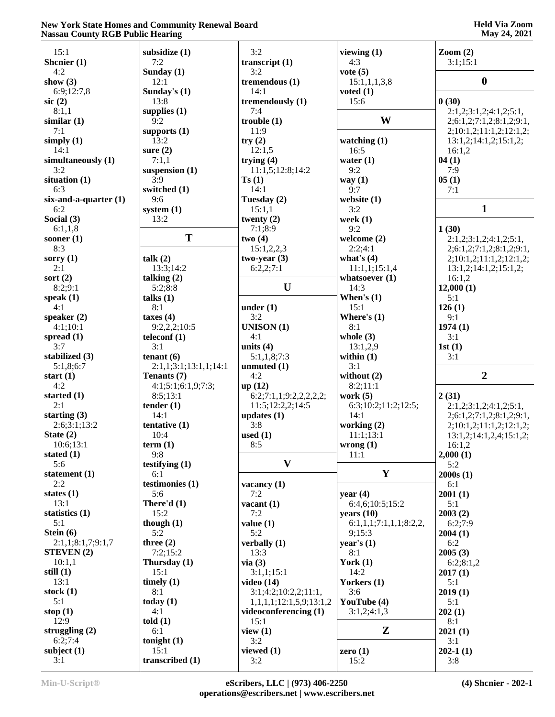# **Held Via Zoom May 24, 2021**

| 15:1                       | subsidize (1)         | 3:2                     | viewing $(1)$          | $\mathrm{Zoom}\left( 2\right)$ |
|----------------------------|-----------------------|-------------------------|------------------------|--------------------------------|
| Shenier (1)                | 7:2                   | transcript $(1)$        | 4:3                    | 3:1;15:1                       |
| 4:2                        | Sunday $(1)$          | 3:2                     | vote $(5)$             |                                |
|                            |                       |                         |                        |                                |
| show $(3)$                 | 12:1                  | tremendous (1)          | 15:1,1,1,3,8           | $\boldsymbol{0}$               |
| 6:9;12:7,8                 | Sunday's (1)          | 14:1                    | voted $(1)$            |                                |
| $\rm{sic}$ (2)             | 13:8                  | tremendously (1)        | 15:6                   | 0(30)                          |
| 8:1,1                      | supplies $(1)$        | 7:4                     |                        | 2:1,2;3:1,2;4:1,2;5:1,         |
| similar(1)                 | 9:2                   | trouble(1)              | W                      | 2;6:1,2;7:1,2;8:1,2;9:1,       |
| 7:1                        | supports $(1)$        | 11:9                    |                        | 2;10:1,2;11:1,2;12:1,2;        |
| simply $(1)$               | 13:2                  | try(2)                  | watching $(1)$         | 13:1,2;14:1,2;15:1,2;          |
| 14:1                       | sure $(2)$            | 12:1,5                  | 16:5                   | 16:1,2                         |
|                            |                       |                         |                        |                                |
| simultaneously (1)         | 7:1,1                 | trying $(4)$            | water $(1)$            | 04(1)                          |
| 3:2                        | suspension (1)        | 11:1,5;12:8;14:2        | 9:2                    | 7:9                            |
| situation $(1)$            | 3:9                   | Ts(1)                   | way $(1)$              | 05(1)                          |
| 6:3                        | switched (1)          | 14:1                    | 9:7                    | 7:1                            |
| $six$ -and-a-quarter $(1)$ | 9:6                   | Tuesday (2)             | website $(1)$          |                                |
| 6:2                        | system $(1)$          | 15:1,1                  | 3:2                    | 1                              |
| Social (3)                 | 13:2                  | twenty $(2)$            | week $(1)$             |                                |
| 6:1,1,8                    |                       | 7:1:8:9                 | 9:2                    | 1(30)                          |
|                            | T                     |                         |                        |                                |
| sooner $(1)$               |                       | two(4)                  | welcome $(2)$          | 2:1,2;3:1,2;4:1,2;5:1,         |
| 8:3                        |                       | 15:1,2,2,3              | 2:2;4:1                | 2;6:1,2;7:1,2;8:1,2;9:1,       |
| sorry $(1)$                | talk(2)               | $two-year(3)$           | what's $(4)$           | 2;10:1,2;11:1,2;12:1,2;        |
| 2:1                        | 13:3;14:2             | 6:2,2;7:1               | 11:1,1;15:1,4          | 13:1,2;14:1,2;15:1,2;          |
| sort $(2)$                 | talking $(2)$         |                         | whatsoever $(1)$       | 16:1,2                         |
| 8:2;9:1                    | 5:2;8:8               | $\mathbf U$             | 14:3                   | 12,000(1)                      |
| speak $(1)$                | talks $(1)$           |                         | When's $(1)$           | 5:1                            |
| 4:1                        | 8:1                   | under $(1)$             | 15:1                   | 126(1)                         |
|                            |                       |                         |                        |                                |
| speaker $(2)$              | taxes $(4)$           | 3:2                     | Where's $(1)$          | 9:1                            |
| 4:1;10:1                   | 9:2,2,2;10:5          | <b>UNISON</b> (1)       | 8:1                    | 1974(1)                        |
| spread $(1)$               | teleconf (1)          | 4:1                     | whole $(3)$            | 3:1                            |
| 3:7                        | 3:1                   | units $(4)$             | 13:1,2,9               | 1st(1)                         |
| stabilized (3)             | tenant $(6)$          | 5:1,1,8;7:3             | within $(1)$           | 3:1                            |
| 5:1,8;6:7                  | 2:1,1;3:1;13:1,1;14:1 | unmuted (1)             | 3:1                    |                                |
| start $(1)$                | Tenants (7)           | 4:2                     | without (2)            | $\overline{2}$                 |
| 4:2                        |                       | up(12)                  | 8:2;11:1               |                                |
|                            | 4:1;5:1;6:1,9;7:3;    |                         |                        |                                |
| started $(1)$              | 8:5;13:1              | 6:2;7:1,1;9:2,2,2,2,2;  | work $(5)$             | 2(31)                          |
| 2:1                        | tender $(1)$          | 11:5;12:2,2;14:5        | 6:3;10:2;11:2;12:5;    | 2:1,2;3:1,2;4:1,2;5:1,         |
| starting $(3)$             | 14:1                  | updates $(1)$           | 14:1                   | 2;6:1,2;7:1,2;8:1,2;9:1,       |
| 2:6;3:1;13:2               | tentative (1)         | 3:8                     | working (2)            | 2;10:1,2;11:1,2;12:1,2;        |
| State $(2)$                | 10:4                  | used $(1)$              | 11:1;13:1              | 13:1,2;14:1,2,4;15:1,2;        |
| 10:6;13:1                  | term(1)               | 8:5                     | wrong(1)               | 16:1,2                         |
| stated $(1)$               | 9:8                   |                         | 11:1                   | 2,000(1)                       |
| 5:6                        |                       | $\mathbf{V}$            |                        |                                |
|                            | testifying $(1)$      |                         |                        | 5:2                            |
| statement $(1)$            | 6:1                   |                         | $\mathbf Y$            | 2000s(1)                       |
| 2:2                        | testimonies (1)       | vacancy $(1)$           |                        | 6:1                            |
| states $(1)$               | 5:6                   | 7:2                     | year $(4)$             | 2001(1)                        |
| 13:1                       | There'd $(1)$         | vacant $(1)$            | 6:4,6;10:5;15:2        | 5:1                            |
| statistics $(1)$           | 15:2                  | 7:2                     | years $(10)$           | 2003(2)                        |
| 5:1                        | though $(1)$          | value(1)                | 6:1,1,1;7:1,1,1;8:2,2, | 6:2;7:9                        |
| Stein $(6)$                | 5:2                   | 5:2                     | 9:15:3                 | 2004(1)                        |
|                            |                       |                         |                        |                                |
| 2:1,1;8:1,7;9:1,7          | three $(2)$           | verbally $(1)$          | year's $(1)$           | 6:2                            |
| <b>STEVEN</b> (2)          | 7:2;15:2              | 13:3                    | 8:1                    | 2005(3)                        |
| 10:1,1                     | Thursday (1)          | via(3)                  | York $(1)$             | 6:2;8:1,2                      |
| still $(1)$                | 15:1                  | 3:1,1;15:1              | 14:2                   | 2017(1)                        |
| 13:1                       | timely $(1)$          | video $(14)$            | Yorkers (1)            | 5:1                            |
| stock $(1)$                | 8:1                   | 3:1;4:2;10:2,2;11:1,    | 3:6                    | 2019(1)                        |
| 5:1                        | today $(1)$           | 1,1,1,1;12:1,5,9;13:1,2 | YouTube (4)            | 5:1                            |
| stop $(1)$                 | 4:1                   | videoconferencing (1)   |                        |                                |
|                            |                       |                         | 3:1,2;4:1,3            | 202(1)                         |
| 12:9                       | $t$ old $(1)$         | 15:1                    |                        | 8:1                            |
| struggling $(2)$           | 6:1                   | view $(1)$              | $\mathbf{Z}$           | 2021(1)                        |
| 6:2;7:4                    | tonight $(1)$         | 3:2                     |                        | 3:1                            |
| subject $(1)$              | 15:1                  | viewed $(1)$            | zero $(1)$             | $202-1(1)$                     |
| 3:1                        | transcribed (1)       | 3:2                     | 15:2                   | 3:8                            |
|                            |                       |                         |                        |                                |